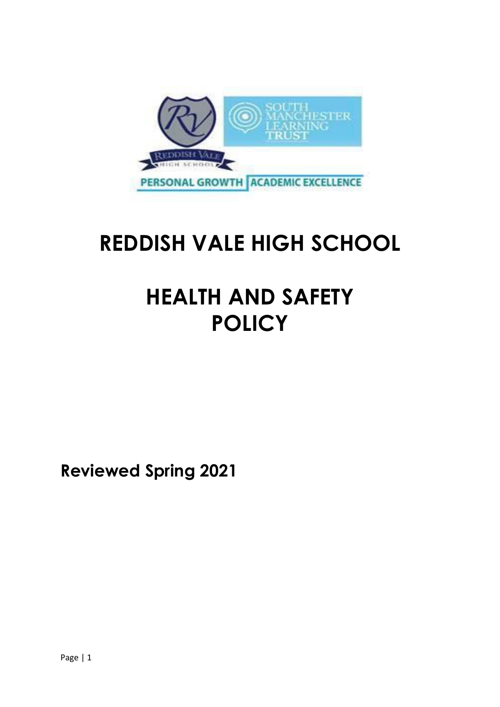

# **REDDISH VALE HIGH SCHOOL**

# **HEALTH AND SAFETY POLICY**

**Reviewed Spring 2021**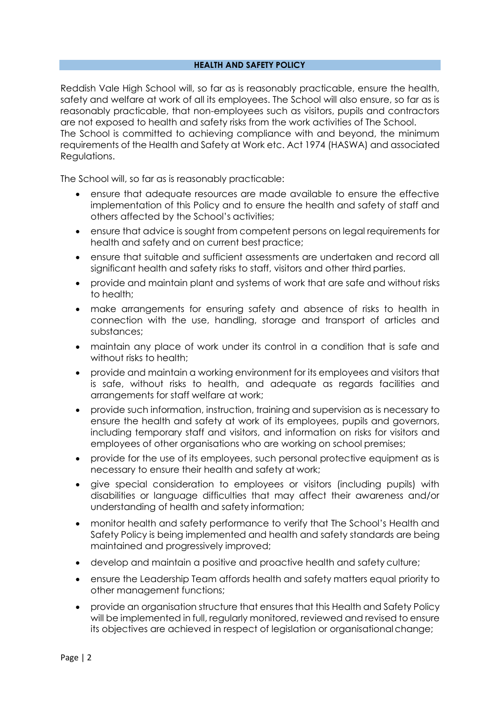#### **HEALTH AND SAFETY POLICY**

Reddish Vale High School will, so far as is reasonably practicable, ensure the health, safety and welfare at work of all its employees. The School will also ensure, so far as is reasonably practicable, that non-employees such as visitors, pupils and contractors are not exposed to health and safety risks from the work activities of The School. The School is committed to achieving compliance with and beyond, the minimum

requirements of the Health and Safety at Work etc. Act 1974 (HASWA) and associated Regulations.

The School will, so far as is reasonably practicable:

- ensure that adequate resources are made available to ensure the effective implementation of this Policy and to ensure the health and safety of staff and others affected by the School's activities;
- ensure that advice is sought from competent persons on legal requirements for health and safety and on current best practice;
- ensure that suitable and sufficient assessments are undertaken and record all significant health and safety risks to staff, visitors and other third parties.
- provide and maintain plant and systems of work that are safe and without risks to health;
- make arrangements for ensuring safety and absence of risks to health in connection with the use, handling, storage and transport of articles and substances;
- maintain any place of work under its control in a condition that is safe and without risks to health:
- provide and maintain a working environment for its employees and visitors that is safe, without risks to health, and adequate as regards facilities and arrangements for staff welfare at work;
- provide such information, instruction, training and supervision as is necessary to ensure the health and safety at work of its employees, pupils and governors, including temporary staff and visitors, and information on risks for visitors and employees of other organisations who are working on school premises;
- provide for the use of its employees, such personal protective equipment as is necessary to ensure their health and safety at work;
- give special consideration to employees or visitors (including pupils) with disabilities or language difficulties that may affect their awareness and/or understanding of health and safety information;
- monitor health and safety performance to verify that The School's Health and Safety Policy is being implemented and health and safety standards are being maintained and progressively improved;
- develop and maintain a positive and proactive health and safety culture;
- ensure the Leadership Team affords health and safety matters equal priority to other management functions;
- provide an organisation structure that ensures that this Health and Safety Policy will be implemented in full, regularly monitored, reviewed and revised to ensure its objectives are achieved in respect of legislation or organisational change;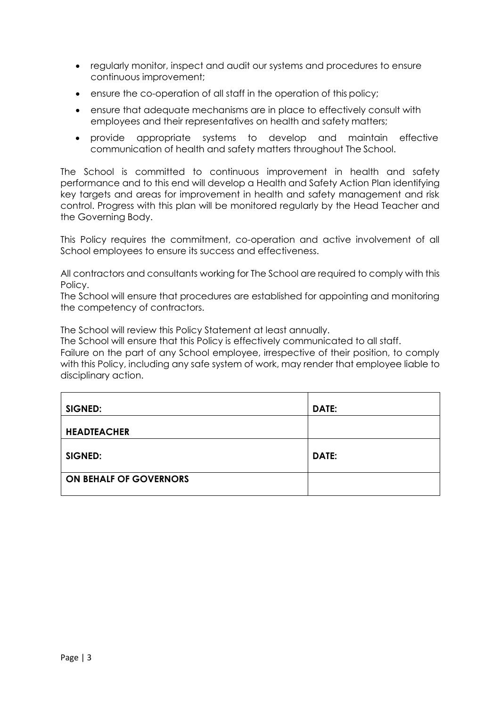- regularly monitor, inspect and audit our systems and procedures to ensure continuous improvement;
- ensure the co-operation of all staff in the operation of this policy;
- ensure that adequate mechanisms are in place to effectively consult with employees and their representatives on health and safety matters;
- provide appropriate systems to develop and maintain effective communication of health and safety matters throughout The School.

The School is committed to continuous improvement in health and safety performance and to this end will develop a Health and Safety Action Plan identifying key targets and areas for improvement in health and safety management and risk control. Progress with this plan will be monitored regularly by the Head Teacher and the Governing Body.

This Policy requires the commitment, co-operation and active involvement of all School employees to ensure its success and effectiveness.

All contractors and consultants working for The School are required to comply with this Policy.

The School will ensure that procedures are established for appointing and monitoring the competency of contractors.

The School will review this Policy Statement at least annually.

The School will ensure that this Policy is effectively communicated to all staff.

Failure on the part of any School employee, irrespective of their position, to comply with this Policy, including any safe system of work, may render that employee liable to disciplinary action.

| SIGNED:                | DATE: |
|------------------------|-------|
| <b>HEADTEACHER</b>     |       |
| SIGNED:                | DATE: |
| ON BEHALF OF GOVERNORS |       |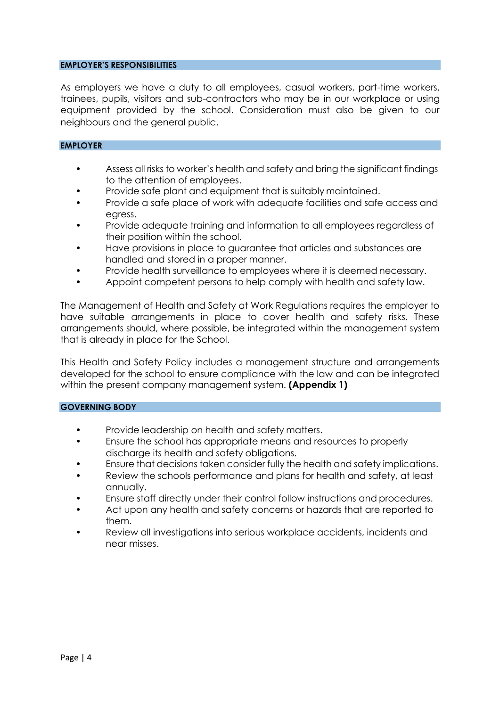#### **EMPLOYER'S RESPONSIBILITIES**

As employers we have a duty to all employees, casual workers, part-time workers, trainees, pupils, visitors and sub-contractors who may be in our workplace or using equipment provided by the school. Consideration must also be given to our neighbours and the general public.

#### **EMPLOYER**

- Assess all risks to worker's health and safety and bring the significant findings to the attention of employees.
- Provide safe plant and equipment that is suitably maintained.
- Provide a safe place of work with adequate facilities and safe access and egress.
- Provide adequate training and information to all employees regardless of their position within the school.
- Have provisions in place to guarantee that articles and substances are handled and stored in a proper manner.
- Provide health surveillance to employees where it is deemed necessary.
- Appoint competent persons to help comply with health and safety law.

The Management of Health and Safety at Work Regulations requires the employer to have suitable arrangements in place to cover health and safety risks. These arrangements should, where possible, be integrated within the management system that is already in place for the School.

This Health and Safety Policy includes a management structure and arrangements developed for the school to ensure compliance with the law and can be integrated within the present company management system. **(Appendix 1)**

#### **GOVERNING BODY**

- Provide leadership on health and safety matters.
- Ensure the school has appropriate means and resources to properly discharge its health and safety obligations.
- Ensure that decisions taken consider fully the health and safety implications.
- Review the schools performance and plans for health and safety, at least annually.
- Ensure staff directly under their control follow instructions and procedures.
- Act upon any health and safety concerns or hazards that are reported to them.
- Review all investigations into serious workplace accidents, incidents and near misses.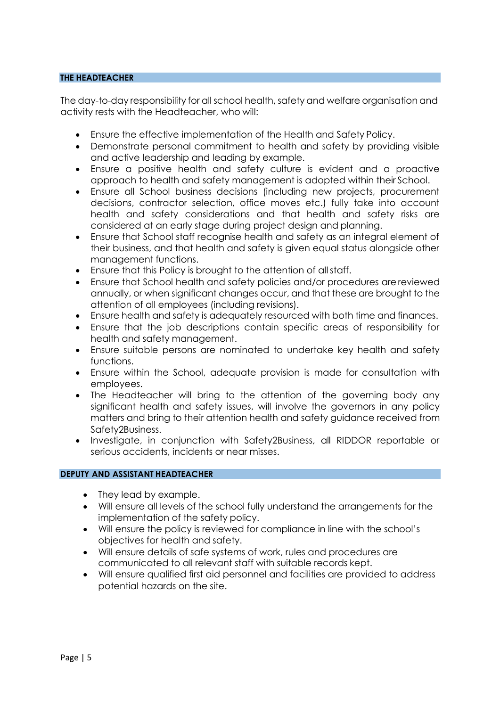## **THE HEADTEACHER**

The day-to-day responsibility for all school health, safety and welfare organisation and activity rests with the Headteacher, who will:

- Ensure the effective implementation of the Health and Safety Policy.
- Demonstrate personal commitment to health and safety by providing visible and active leadership and leading by example.
- Ensure a positive health and safety culture is evident and a proactive approach to health and safety management is adopted within their School.
- Ensure all School business decisions (including new projects, procurement decisions, contractor selection, office moves etc.) fully take into account health and safety considerations and that health and safety risks are considered at an early stage during project design and planning.
- Ensure that School staff recognise health and safety as an integral element of their business, and that health and safety is given equal status alongside other management functions.
- Ensure that this Policy is brought to the attention of allstaff.
- Ensure that School health and safety policies and/or procedures arereviewed annually, or when significant changes occur, and that these are brought to the attention of all employees (including revisions).
- Ensure health and safety is adequately resourced with both time and finances.
- Ensure that the job descriptions contain specific areas of responsibility for health and safety management.
- Ensure suitable persons are nominated to undertake key health and safety functions.
- Ensure within the School, adequate provision is made for consultation with employees.
- The Headteacher will bring to the attention of the governing body any significant health and safety issues, will involve the governors in any policy matters and bring to their attention health and safety guidance received from Safety2Business.
- Investigate, in conjunction with Safety2Business, all RIDDOR reportable or serious accidents, incidents or near misses.

#### **DEPUTY AND ASSISTANT HEADTEACHER**

- They lead by example.
- Will ensure all levels of the school fully understand the arrangements for the implementation of the safety policy.
- Will ensure the policy is reviewed for compliance in line with the school's objectives for health and safety.
- Will ensure details of safe systems of work, rules and procedures are communicated to all relevant staff with suitable records kept.
- Will ensure qualified first aid personnel and facilities are provided to address potential hazards on the site.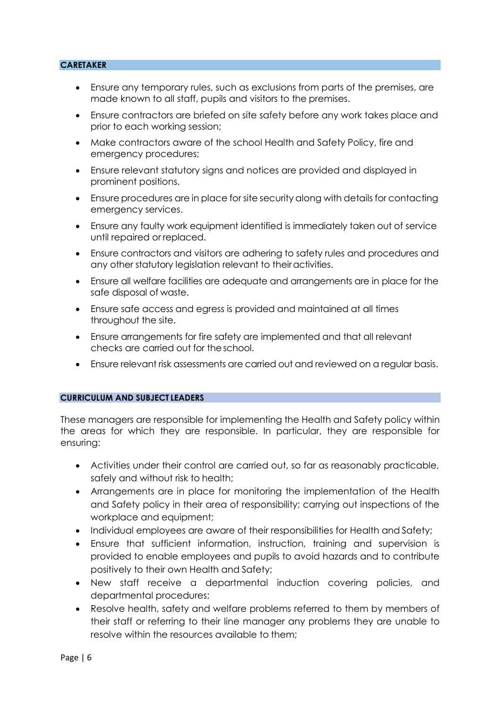## **CARETAKER**

- Ensure any temporary rules, such as exclusions from parts of the premises, are made known to all staff, pupils and visitors to the premises.
- Ensure contractors are briefed on site safety before any work takes place and prior to each working session;
- Make contractors aware of the school Health and Safety Policy, fire and emergency procedures;
- Ensure relevant statutory signs and notices are provided and displayed in prominent positions.
- Ensure procedures are in place for site security along with details for contacting emergency services.
- Ensure any faulty work equipment identified is immediately taken out of service until repaired or replaced.
- Ensure contractors and visitors are adhering to safety rules and procedures and any other statutory legislation relevant to theiractivities.
- Ensure all welfare facilities are adequate and arrangements are in place for the safe disposal of waste.
- Ensure safe access and egress is provided and maintained at all times throughout the site.
- Ensure arrangements for fire safety are implemented and that all relevant checks are carried out for theschool.
- Ensure relevant risk assessments are carried out and reviewed on a regular basis.

#### **CURRICULUM AND SUBJECT LEADERS**

These managers are responsible for implementing the Health and Safety policy within the areas for which they are responsible. In particular, they are responsible for ensuring:

- Activities under their control are carried out, so far as reasonably practicable, safely and without risk to health;
- Arrangements are in place for monitoring the implementation of the Health and Safety policy in their area of responsibility; carrying out inspections of the workplace and equipment;
- Individual employees are aware of their responsibilities for Health and Safety;
- Ensure that sufficient information, instruction, training and supervision is provided to enable employees and pupils to avoid hazards and to contribute positively to their own Health and Safety;
- New staff receive a departmental induction covering policies, and departmental procedures;
- Resolve health, safety and welfare problems referred to them by members of their staff or referring to their line manager any problems they are unable to resolve within the resources available to them;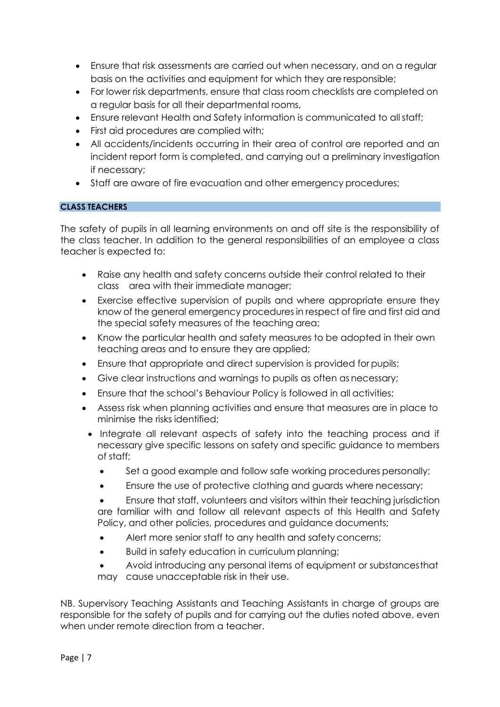- Ensure that risk assessments are carried out when necessary, and on a regular basis on the activities and equipment for which they are responsible;
- For lower risk departments, ensure that class room checklists are completed on a regular basis for all their departmental rooms,
- Ensure relevant Health and Safety information is communicated to all staff;
- First aid procedures are complied with;
- All accidents/incidents occurring in their area of control are reported and an incident report form is completed, and carrying out a preliminary investigation if necessary;
- Staff are aware of fire evacuation and other emergency procedures;

# **CLASS TEACHERS**

The safety of pupils in all learning environments on and off site is the responsibility of the class teacher. In addition to the general responsibilities of an employee a class teacher is expected to:

- Raise any health and safety concerns outside their control related to their class area with their immediate manager;
- Exercise effective supervision of pupils and where appropriate ensure they know of the general emergency procedures in respect of fire and first aid and the special safety measures of the teaching area;
- Know the particular health and safety measures to be adopted in their own teaching areas and to ensure they are applied;
- Ensure that appropriate and direct supervision is provided for pupils;
- Give clear instructions and warnings to pupils as often as necessary;
- Ensure that the school's Behaviour Policy is followed in all activities;
- Assess risk when planning activities and ensure that measures are in place to minimise the risks identified;
- Integrate all relevant aspects of safety into the teaching process and if necessary give specific lessons on safety and specific guidance to members of staff;
	- Set a good example and follow safe working procedures personally;
	- Ensure the use of protective clothing and guards where necessary;

 Ensure that staff, volunteers and visitors within their teaching jurisdiction are familiar with and follow all relevant aspects of this Health and Safety Policy, and other policies, procedures and guidance documents;

- Alert more senior staff to any health and safety concerns;
- Build in safety education in curriculum planning;
- Avoid introducing any personal items of equipment or substancesthat may cause unacceptable risk in their use.

NB. Supervisory Teaching Assistants and Teaching Assistants in charge of groups are responsible for the safety of pupils and for carrying out the duties noted above, even when under remote direction from a teacher.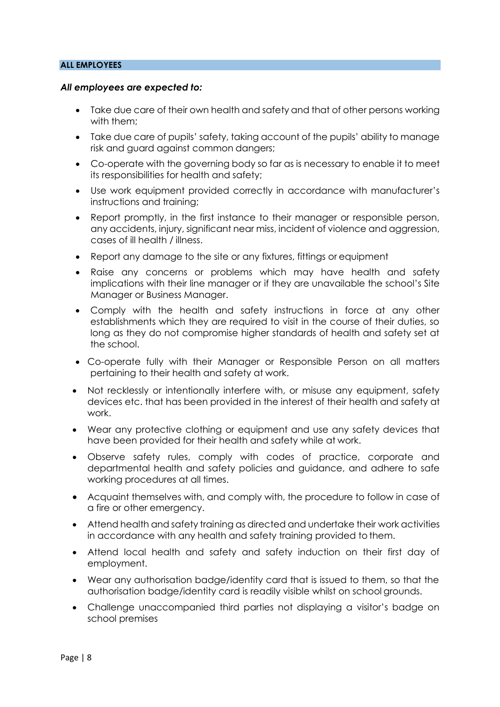## **ALL EMPLOYEES**

#### *All employees are expected to:*

- Take due care of their own health and safety and that of other persons working with them;
- Take due care of pupils' safety, taking account of the pupils' ability to manage risk and guard against common dangers;
- Co-operate with the governing body so far as is necessary to enable it to meet its responsibilities for health and safety;
- Use work equipment provided correctly in accordance with manufacturer's instructions and training;
- Report promptly, in the first instance to their manager or responsible person, any accidents, injury, significant near miss, incident of violence and aggression, cases of ill health / illness.
- Report any damage to the site or any fixtures, fittings or equipment
- Raise any concerns or problems which may have health and safety implications with their line manager or if they are unavailable the school's Site Manager or Business Manager.
- Comply with the health and safety instructions in force at any other establishments which they are required to visit in the course of their duties, so long as they do not compromise higher standards of health and safety set at the school.
- Co-operate fully with their Manager or Responsible Person on all matters pertaining to their health and safety at work.
- Not recklessly or intentionally interfere with, or misuse any equipment, safety devices etc. that has been provided in the interest of their health and safety at work.
- Wear any protective clothing or equipment and use any safety devices that have been provided for their health and safety while at work.
- Observe safety rules, comply with codes of practice, corporate and departmental health and safety policies and guidance, and adhere to safe working procedures at all times.
- Acquaint themselves with, and comply with, the procedure to follow in case of a fire or other emergency.
- Attend health and safety training as directed and undertake their work activities in accordance with any health and safety training provided to them.
- Attend local health and safety and safety induction on their first day of employment.
- Wear any authorisation badge/identity card that is issued to them, so that the authorisation badge/identity card is readily visible whilst on school grounds.
- Challenge unaccompanied third parties not displaying a visitor's badge on school premises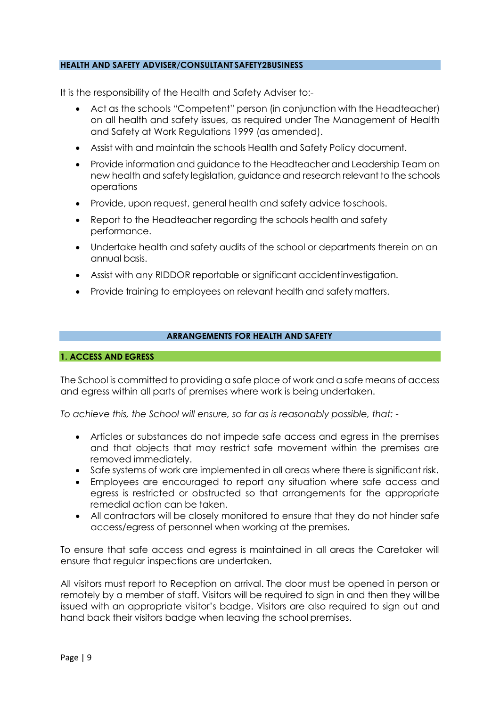#### **HEALTH AND SAFETY ADVISER/CONSULTANT SAFETY2BUSINESS**

It is the responsibility of the Health and Safety Adviser to:-

- Act as the schools "Competent" person (in conjunction with the Headteacher) on all health and safety issues, as required under The Management of Health and Safety at Work Regulations 1999 (as amended).
- Assist with and maintain the schools Health and Safety Policy document.
- Provide information and guidance to the Headteacher and Leadership Team on new health and safety legislation, guidance and research relevant to the schools operations
- Provide, upon request, general health and safety advice toschools.
- Report to the Headteacher regarding the schools health and safety performance.
- Undertake health and safety audits of the school or departments therein on an annual basis.
- Assist with any RIDDOR reportable or significant accidentinvestigation.
- Provide training to employees on relevant health and safety matters.

# **ARRANGEMENTS FOR HEALTH AND SAFETY**

#### **1. ACCESS AND EGRESS**

The School is committed to providing a safe place of work and a safe means of access and egress within all parts of premises where work is being undertaken.

*To achieve this, the School will ensure, so far as is reasonably possible, that: -*

- Articles or substances do not impede safe access and egress in the premises and that objects that may restrict safe movement within the premises are removed immediately.
- Safe systems of work are implemented in all areas where there is significant risk.
- Employees are encouraged to report any situation where safe access and egress is restricted or obstructed so that arrangements for the appropriate remedial action can be taken.
- All contractors will be closely monitored to ensure that they do not hinder safe access/egress of personnel when working at the premises.

To ensure that safe access and egress is maintained in all areas the Caretaker will ensure that regular inspections are undertaken.

All visitors must report to Reception on arrival. The door must be opened in person or remotely by a member of staff. Visitors will be required to sign in and then they willbe issued with an appropriate visitor's badge. Visitors are also required to sign out and hand back their visitors badge when leaving the school premises.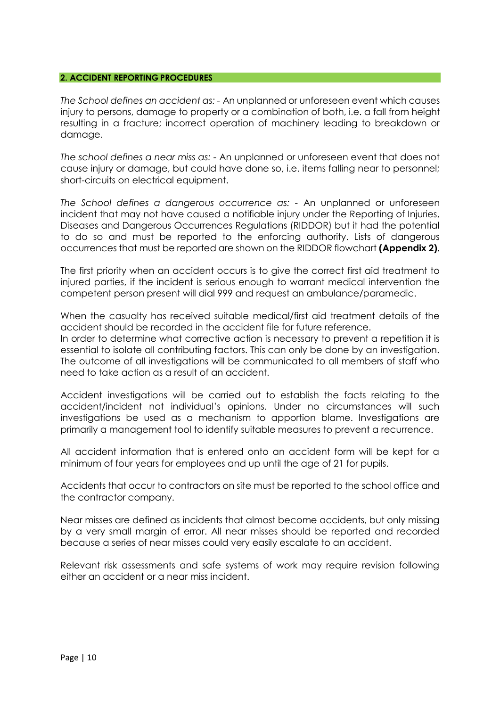#### **2. ACCIDENT REPORTING PROCEDURES**

*The School defines an accident as: -* An unplanned or unforeseen event which causes injury to persons, damage to property or a combination of both, i.e. a fall from height resulting in a fracture; incorrect operation of machinery leading to breakdown or damage.

*The school defines a near miss as: -* An unplanned or unforeseen event that does not cause injury or damage, but could have done so, i.e. items falling near to personnel; short-circuits on electrical equipment.

*The School defines a dangerous occurrence as: -* An unplanned or unforeseen incident that may not have caused a notifiable injury under the Reporting of Injuries, Diseases and Dangerous Occurrences Regulations (RIDDOR) but it had the potential to do so and must be reported to the enforcing authority. Lists of dangerous occurrences that must be reported are shown on the RIDDOR flowchart **(Appendix 2).**

The first priority when an accident occurs is to give the correct first aid treatment to injured parties, if the incident is serious enough to warrant medical intervention the competent person present will dial 999 and request an ambulance/paramedic.

When the casualty has received suitable medical/first aid treatment details of the accident should be recorded in the accident file for future reference.

In order to determine what corrective action is necessary to prevent a repetition it is essential to isolate all contributing factors. This can only be done by an investigation. The outcome of all investigations will be communicated to all members of staff who need to take action as a result of an accident.

Accident investigations will be carried out to establish the facts relating to the accident/incident not individual's opinions. Under no circumstances will such investigations be used as a mechanism to apportion blame. Investigations are primarily a management tool to identify suitable measures to prevent a recurrence.

All accident information that is entered onto an accident form will be kept for a minimum of four years for employees and up until the age of 21 for pupils.

Accidents that occur to contractors on site must be reported to the school office and the contractor company.

Near misses are defined as incidents that almost become accidents, but only missing by a very small margin of error. All near misses should be reported and recorded because a series of near misses could very easily escalate to an accident.

Relevant risk assessments and safe systems of work may require revision following either an accident or a near miss incident.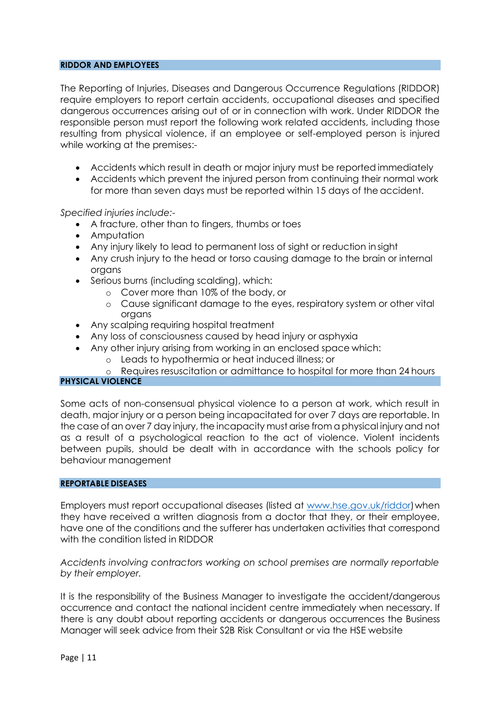#### **RIDDOR AND EMPLOYEES**

The Reporting of Injuries, Diseases and Dangerous Occurrence Regulations (RIDDOR) require employers to report certain accidents, occupational diseases and specified dangerous occurrences arising out of or in connection with work. Under RIDDOR the responsible person must report the following work related accidents, including those resulting from physical violence, if an employee or self-employed person is injured while working at the premises:-

- Accidents which result in death or major injury must be reported immediately
- Accidents which prevent the injured person from continuing their normal work for more than seven days must be reported within 15 days of the accident.

*Specified injuries include:-*

- A fracture, other than to fingers, thumbs or toes
- Amputation
- Any injury likely to lead to permanent loss of sight or reduction in sight
- Any crush injury to the head or torso causing damage to the brain or internal organs
- Serious burns (including scalding), which:
	- o Cover more than 10% of the body, or
	- o Cause significant damage to the eyes, respiratory system or other vital organs
- Any scalping requiring hospital treatment
- Any loss of consciousness caused by head injury or asphyxia
- Any other injury arising from working in an enclosed space which:
	- o Leads to hypothermia or heat induced illness; or
	- o Requires resuscitation or admittance to hospital for more than 24 hours

## **PHYSICAL VIOLENCE**

Some acts of non-consensual physical violence to a person at work, which result in death, major injury or a person being incapacitated for over 7 days are reportable. In the case of an over 7 day injury, the incapacity must arise from a physical injury and not as a result of a psychological reaction to the act of violence. Violent incidents between pupils, should be dealt with in accordance with the schools policy for behaviour management

#### **REPORTABLE DISEASES**

Employers must report occupational diseases (listed at [www.hse.gov.uk/riddor\)](http://www.hse.gov.uk/riddor) when they have received a written diagnosis from a doctor that they, or their employee, have one of the conditions and the sufferer has undertaken activities that correspond with the condition listed in RIDDOR

*Accidents involving contractors working on school premises are normally reportable by their employer.*

It is the responsibility of the Business Manager to investigate the accident/dangerous occurrence and contact the national incident centre immediately when necessary. If there is any doubt about reporting accidents or dangerous occurrences the Business Manager will seek advice from their S2B Risk Consultant or via the HSE website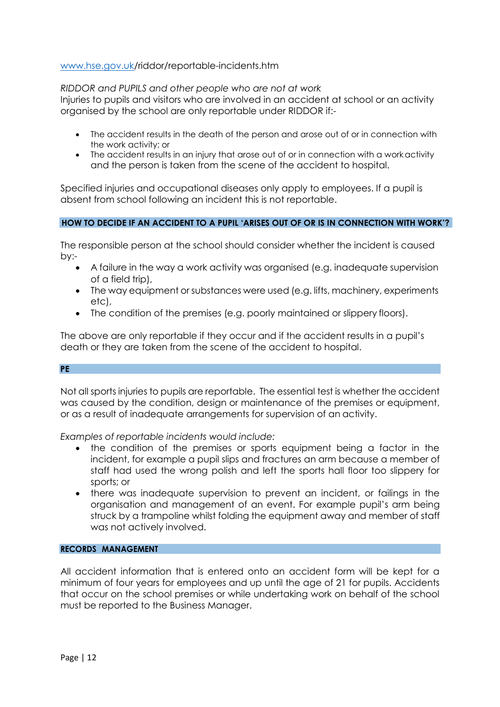## [www.hse.gov.uk/](http://www.hse.gov.uk/)riddor/reportable-incidents.htm

*RIDDOR and PUPILS and other people who are not at work*

Injuries to pupils and visitors who are involved in an accident at school or an activity organised by the school are only reportable under RIDDOR if:-

- The accident results in the death of the person and arose out of or in connection with the work activity; or
- The accident results in an injury that arose out of or in connection with a work activity and the person is taken from the scene of the accident to hospital.

Specified injuries and occupational diseases only apply to employees. If a pupil is absent from school following an incident this is not reportable.

# **HOW TO DECIDE IF AN ACCIDENT TO A PUPIL 'ARISES OUT OF OR IS IN CONNECTION WITH WORK'?**

The responsible person at the school should consider whether the incident is caused by:-

- A failure in the way a work activity was organised (e.g. inadequate supervision of a field trip),
- The way equipment or substances were used (e.g. lifts, machinery, experiments etc),
- The condition of the premises (e.g. poorly maintained or slippery floors).

The above are only reportable if they occur and if the accident results in a pupil's death or they are taken from the scene of the accident to hospital.

#### **PE**

Not all sports injuries to pupils are reportable. The essential test is whether the accident was caused by the condition, design or maintenance of the premises or equipment, or as a result of inadequate arrangements for supervision of an activity.

*Examples of reportable incidents would include:*

- the condition of the premises or sports equipment being a factor in the incident, for example a pupil slips and fractures an arm because a member of staff had used the wrong polish and left the sports hall floor too slippery for sports; or
- there was inadequate supervision to prevent an incident, or failings in the organisation and management of an event. For example pupil's arm being struck by a trampoline whilst folding the equipment away and member of staff was not actively involved.

#### **RECORDS MANAGEMENT**

All accident information that is entered onto an accident form will be kept for a minimum of four years for employees and up until the age of 21 for pupils. Accidents that occur on the school premises or while undertaking work on behalf of the school must be reported to the Business Manager.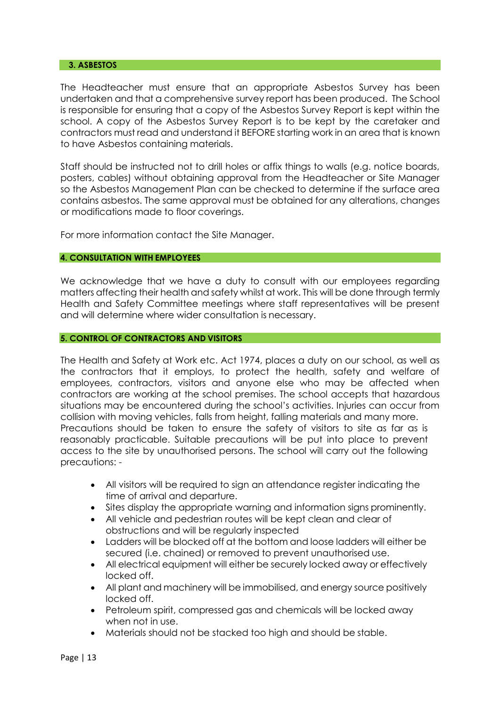#### **3. ASBESTOS**

The Headteacher must ensure that an appropriate Asbestos Survey has been undertaken and that a comprehensive survey report has been produced. The School is responsible for ensuring that a copy of the Asbestos Survey Report is kept within the school. A copy of the Asbestos Survey Report is to be kept by the caretaker and contractors must read and understand it BEFORE starting work in an area that is known to have Asbestos containing materials.

Staff should be instructed not to drill holes or affix things to walls (e.g. notice boards, posters, cables) without obtaining approval from the Headteacher or Site Manager so the Asbestos Management Plan can be checked to determine if the surface area contains asbestos. The same approval must be obtained for any alterations, changes or modifications made to floor coverings.

For more information contact the Site Manager.

## **4. CONSULTATION WITH EMPLOYEES**

We acknowledge that we have a duty to consult with our employees regarding matters affecting their health and safety whilst at work. This will be done through termly Health and Safety Committee meetings where staff representatives will be present and will determine where wider consultation is necessary.

#### **5. CONTROL OF CONTRACTORS AND VISITORS**

The Health and Safety at Work etc. Act 1974, places a duty on our school, as well as the contractors that it employs, to protect the health, safety and welfare of employees, contractors, visitors and anyone else who may be affected when contractors are working at the school premises. The school accepts that hazardous situations may be encountered during the school's activities. Injuries can occur from collision with moving vehicles, falls from height, falling materials and many more. Precautions should be taken to ensure the safety of visitors to site as far as is reasonably practicable. Suitable precautions will be put into place to prevent access to the site by unauthorised persons. The school will carry out the following precautions: -

- All visitors will be required to sign an attendance register indicating the time of arrival and departure.
- Sites display the appropriate warning and information signs prominently.
- All vehicle and pedestrian routes will be kept clean and clear of obstructions and will be regularly inspected
- Ladders will be blocked off at the bottom and loose ladders will either be secured (i.e. chained) or removed to prevent unauthorised use.
- All electrical equipment will either be securely locked away or effectively locked off.
- All plant and machinery will be immobilised, and energy source positively locked off.
- Petroleum spirit, compressed gas and chemicals will be locked away when not in use.
- Materials should not be stacked too high and should be stable.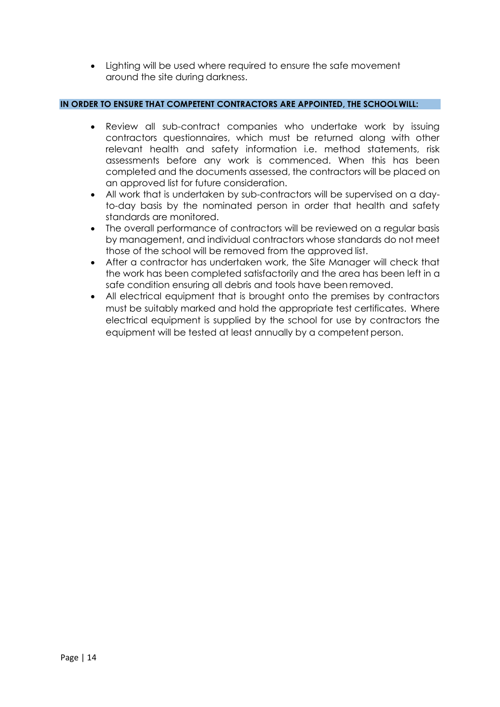• Lighting will be used where required to ensure the safe movement around the site during darkness.

## **IN ORDER TO ENSURE THAT COMPETENT CONTRACTORS ARE APPOINTED, THE SCHOOLWILL:**

- Review all sub-contract companies who undertake work by issuing contractors questionnaires, which must be returned along with other relevant health and safety information i.e. method statements, risk assessments before any work is commenced. When this has been completed and the documents assessed, the contractors will be placed on an approved list for future consideration.
- All work that is undertaken by sub-contractors will be supervised on a dayto-day basis by the nominated person in order that health and safety standards are monitored.
- The overall performance of contractors will be reviewed on a regular basis by management, and individual contractors whose standards do not meet those of the school will be removed from the approved list.
- After a contractor has undertaken work, the Site Manager will check that the work has been completed satisfactorily and the area has been left in a safe condition ensuring all debris and tools have been removed.
- All electrical equipment that is brought onto the premises by contractors must be suitably marked and hold the appropriate test certificates. Where electrical equipment is supplied by the school for use by contractors the equipment will be tested at least annually by a competent person.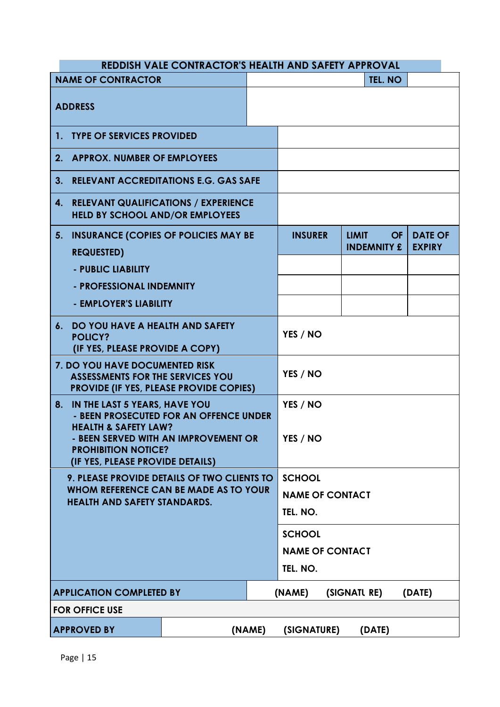|                                                                                                                                           | <b>REDDISH VALE CONTRACTOR'S HEALTH AND SAFETY APPROVAL</b>                           |                                  |              |                                 |                                 |  |
|-------------------------------------------------------------------------------------------------------------------------------------------|---------------------------------------------------------------------------------------|----------------------------------|--------------|---------------------------------|---------------------------------|--|
| <b>NAME OF CONTRACTOR</b>                                                                                                                 |                                                                                       | TEL. NO                          |              |                                 |                                 |  |
| <b>ADDRESS</b>                                                                                                                            |                                                                                       |                                  |              |                                 |                                 |  |
| 1. TYPE OF SERVICES PROVIDED                                                                                                              |                                                                                       |                                  |              |                                 |                                 |  |
| 2. APPROX. NUMBER OF EMPLOYEES                                                                                                            |                                                                                       |                                  |              |                                 |                                 |  |
| 3.                                                                                                                                        | <b>RELEVANT ACCREDITATIONS E.G. GAS SAFE</b>                                          |                                  |              |                                 |                                 |  |
| 4.                                                                                                                                        | <b>RELEVANT QUALIFICATIONS / EXPERIENCE</b><br><b>HELD BY SCHOOL AND/OR EMPLOYEES</b> |                                  |              |                                 |                                 |  |
| <b>INSURANCE (COPIES OF POLICIES MAY BE</b><br>5.<br><b>REQUESTED)</b>                                                                    |                                                                                       | <b>INSURER</b>                   | <b>LIMIT</b> | <b>OF</b><br><b>INDEMNITY £</b> | <b>DATE OF</b><br><b>EXPIRY</b> |  |
| - PUBLIC LIABILITY                                                                                                                        |                                                                                       |                                  |              |                                 |                                 |  |
| - PROFESSIONAL INDEMNITY                                                                                                                  |                                                                                       |                                  |              |                                 |                                 |  |
| - EMPLOYER'S LIABILITY                                                                                                                    |                                                                                       |                                  |              |                                 |                                 |  |
| DO YOU HAVE A HEALTH AND SAFETY<br>6.<br><b>POLICY?</b><br>(IF YES, PLEASE PROVIDE A COPY)                                                |                                                                                       |                                  | YES / NO     |                                 |                                 |  |
| 7. DO YOU HAVE DOCUMENTED RISK<br><b>ASSESSMENTS FOR THE SERVICES YOU</b><br><b>PROVIDE (IF YES, PLEASE PROVIDE COPIES)</b>               |                                                                                       | YES / NO                         |              |                                 |                                 |  |
| IN THE LAST 5 YEARS, HAVE YOU<br>8.<br>- BEEN PROSECUTED FOR AN OFFENCE UNDER                                                             |                                                                                       | YES / NO                         |              |                                 |                                 |  |
| <b>HEALTH &amp; SAFETY LAW?</b><br>- BEEN SERVED WITH AN IMPROVEMENT OR<br><b>PROHIBITION NOTICE?</b><br>(IF YES, PLEASE PROVIDE DETAILS) |                                                                                       | YES / NO                         |              |                                 |                                 |  |
| 9. PLEASE PROVIDE DETAILS OF TWO CLIENTS TO<br>WHOM REFERENCE CAN BE MADE AS TO YOUR<br><b>HEALTH AND SAFETY STANDARDS.</b>               |                                                                                       | <b>SCHOOL</b>                    |              |                                 |                                 |  |
|                                                                                                                                           |                                                                                       | <b>NAME OF CONTACT</b>           |              |                                 |                                 |  |
|                                                                                                                                           |                                                                                       | TEL. NO.                         |              |                                 |                                 |  |
|                                                                                                                                           |                                                                                       | <b>SCHOOL</b>                    |              |                                 |                                 |  |
|                                                                                                                                           |                                                                                       | <b>NAME OF CONTACT</b>           |              |                                 |                                 |  |
|                                                                                                                                           |                                                                                       | TEL. NO.                         |              |                                 |                                 |  |
| <b>APPLICATION COMPLETED BY</b>                                                                                                           |                                                                                       | (SIGNATL RE)<br>(NAME)<br>(DATE) |              |                                 |                                 |  |
| <b>FOR OFFICE USE</b>                                                                                                                     |                                                                                       |                                  |              |                                 |                                 |  |
| <b>APPROVED BY</b>                                                                                                                        |                                                                                       | (NAME)                           | (SIGNATURE)  |                                 | (DATE)                          |  |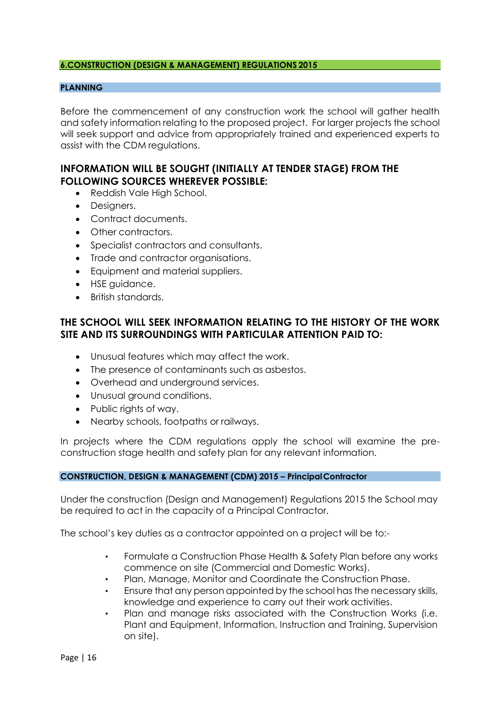#### **6.CONSTRUCTION (DESIGN & MANAGEMENT) REGULATIONS 2015**

## **PLANNING**

Before the commencement of any construction work the school will gather health and safety information relating to the proposed project. For larger projects the school will seek support and advice from appropriately trained and experienced experts to assist with the CDM regulations.

# **INFORMATION WILL BE SOUGHT (INITIALLY AT TENDER STAGE) FROM THE FOLLOWING SOURCES WHEREVER POSSIBLE:**

- Reddish Vale High School.
- Designers.
- Contract documents.
- Other contractors.
- Specialist contractors and consultants.
- Trade and contractor organisations.
- Equipment and material suppliers.
- HSE guidance.
- British standards.

# **THE SCHOOL WILL SEEK INFORMATION RELATING TO THE HISTORY OF THE WORK SITE AND ITS SURROUNDINGS WITH PARTICULAR ATTENTION PAID TO:**

- Unusual features which may affect the work.
- The presence of contaminants such as asbestos.
- Overhead and underground services.
- Unusual ground conditions.
- Public rights of way.
- Nearby schools, footpaths or railways.

In projects where the CDM regulations apply the school will examine the preconstruction stage health and safety plan for any relevant information.

#### **CONSTRUCTION, DESIGN & MANAGEMENT (CDM) 2015 – PrincipalContractor**

Under the construction (Design and Management) Regulations 2015 the School may be required to act in the capacity of a Principal Contractor.

The school's key duties as a contractor appointed on a project will be to:-

- Formulate a Construction Phase Health & Safety Plan before any works commence on site (Commercial and Domestic Works).
- Plan, Manage, Monitor and Coordinate the Construction Phase.
- Ensure that any person appointed by the school has the necessary skills, knowledge and experience to carry out their work activities.
- Plan and manage risks associated with the Construction Works (i.e. Plant and Equipment, Information, Instruction and Training, Supervision on site).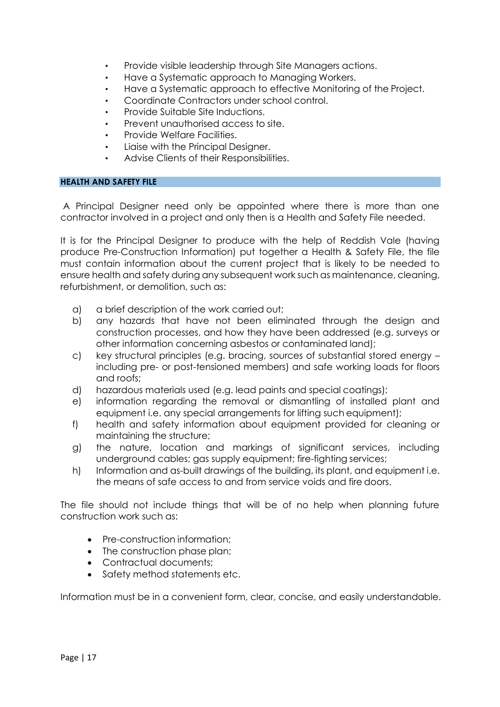- Provide visible leadership through Site Managers actions.
- Have a Systematic approach to Managing Workers.
- Have a Systematic approach to effective Monitoring of the Project.
- Coordinate Contractors under school control.
- Provide Suitable Site Inductions.
- Prevent unauthorised access to site.
- Provide Welfare Facilities.
- Liaise with the Principal Designer.
- Advise Clients of their Responsibilities.

#### **HEALTH AND SAFETY FILE**

A Principal Designer need only be appointed where there is more than one contractor involved in a project and only then is a Health and Safety File needed.

It is for the Principal Designer to produce with the help of Reddish Vale (having produce Pre-Construction Information) put together a Health & Safety File, the file must contain information about the current project that is likely to be needed to ensure health and safety during any subsequent work such as maintenance, cleaning, refurbishment, or demolition, such as:

- a) a brief description of the work carried out;
- b) any hazards that have not been eliminated through the design and construction processes, and how they have been addressed (e.g. surveys or other information concerning asbestos or contaminated land);
- c) key structural principles (e.g. bracing, sources of substantial stored energy including pre- or post-tensioned members) and safe working loads for floors and roofs;
- d) hazardous materials used (e.g. lead paints and special coatings);
- e) information regarding the removal or dismantling of installed plant and equipment i.e. any special arrangements for lifting such equipment);
- f) health and safety information about equipment provided for cleaning or maintaining the structure;
- g) the nature, location and markings of significant services, including underground cables; gas supply equipment; fire-fighting services;
- h) Information and as-built drawings of the building, its plant, and equipment i.e. the means of safe access to and from service voids and fire doors.

The file should not include things that will be of no help when planning future construction work such as:

- Pre-construction information:
- The construction phase plan;
- Contractual documents;
- Safety method statements etc.

Information must be in a convenient form, clear, concise, and easily understandable.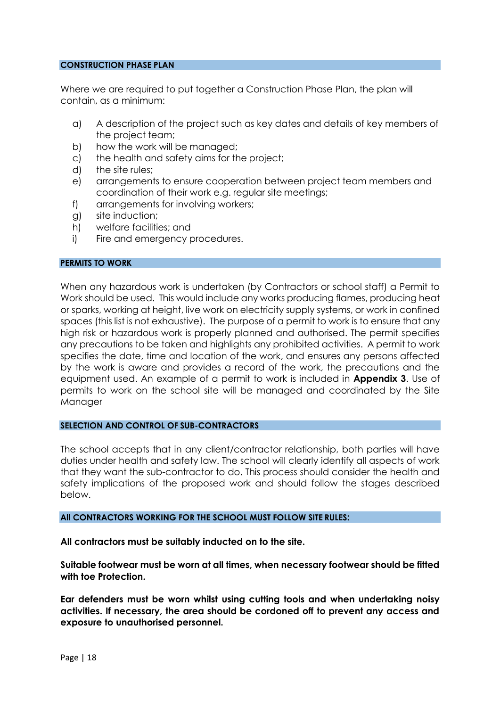#### **CONSTRUCTION PHASE PLAN**

Where we are required to put together a Construction Phase Plan, the plan will contain, as a minimum:

- a) A description of the project such as key dates and details of key members of the project team;
- b) how the work will be managed;
- c) the health and safety aims for the project;
- d) the site rules;
- e) arrangements to ensure cooperation between project team members and coordination of their work e.g. regular site meetings;
- f) arrangements for involving workers;
- g) site induction;
- h) welfare facilities; and
- i) Fire and emergency procedures.

#### **PERMITS TO WORK**

When any hazardous work is undertaken (by Contractors or school staff) a Permit to Work should be used. This would include any works producing flames, producing heat or sparks, working at height, live work on electricity supply systems, or work in confined spaces (this list is not exhaustive). The purpose of a permit to work is to ensure that any high risk or hazardous work is properly planned and authorised. The permit specifies any precautions to be taken and highlights any prohibited activities. A permit to work specifies the date, time and location of the work, and ensures any persons affected by the work is aware and provides a record of the work, the precautions and the equipment used. An example of a permit to work is included in **Appendix 3**. Use of permits to work on the school site will be managed and coordinated by the Site Manager

#### **SELECTION AND CONTROL OF SUB-CONTRACTORS**

The school accepts that in any client/contractor relationship, both parties will have duties under health and safety law. The school will clearly identify all aspects of work that they want the sub-contractor to do. This process should consider the health and safety implications of the proposed work and should follow the stages described below.

#### **All CONTRACTORS WORKING FOR THE SCHOOL MUST FOLLOW SITE RULES:**

**All contractors must be suitably inducted on to the site.**

**Suitable footwear must be worn at all times, when necessary footwear should be fitted with toe Protection.**

**Ear defenders must be worn whilst using cutting tools and when undertaking noisy activities. If necessary, the area should be cordoned off to prevent any access and exposure to unauthorised personnel.**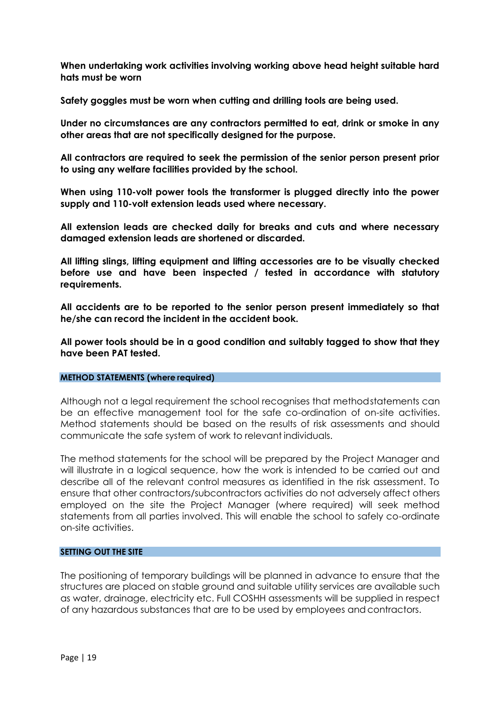**When undertaking work activities involving working above head height suitable hard hats must be worn**

**Safety goggles must be worn when cutting and drilling tools are being used.**

**Under no circumstances are any contractors permitted to eat, drink or smoke in any other areas that are not specifically designed for the purpose.**

**All contractors are required to seek the permission of the senior person present prior to using any welfare facilities provided by the school.**

**When using 110-volt power tools the transformer is plugged directly into the power supply and 110-volt extension leads used where necessary.**

**All extension leads are checked daily for breaks and cuts and where necessary damaged extension leads are shortened or discarded.**

**All lifting slings, lifting equipment and lifting accessories are to be visually checked before use and have been inspected / tested in accordance with statutory requirements.**

**All accidents are to be reported to the senior person present immediately so that he/she can record the incident in the accident book.**

**All power tools should be in a good condition and suitably tagged to show that they have been PAT tested.**

#### **METHOD STATEMENTS (where required)**

Although not a legal requirement the school recognises that methodstatements can be an effective management tool for the safe co-ordination of on-site activities. Method statements should be based on the results of risk assessments and should communicate the safe system of work to relevant individuals.

The method statements for the school will be prepared by the Project Manager and will illustrate in a logical sequence, how the work is intended to be carried out and describe all of the relevant control measures as identified in the risk assessment. To ensure that other contractors/subcontractors activities do not adversely affect others employed on the site the Project Manager (where required) will seek method statements from all parties involved. This will enable the school to safely co-ordinate on-site activities.

#### **SETTING OUT THE SITE**

The positioning of temporary buildings will be planned in advance to ensure that the structures are placed on stable ground and suitable utility services are available such as water, drainage, electricity etc. Full COSHH assessments will be supplied in respect of any hazardous substances that are to be used by employees andcontractors.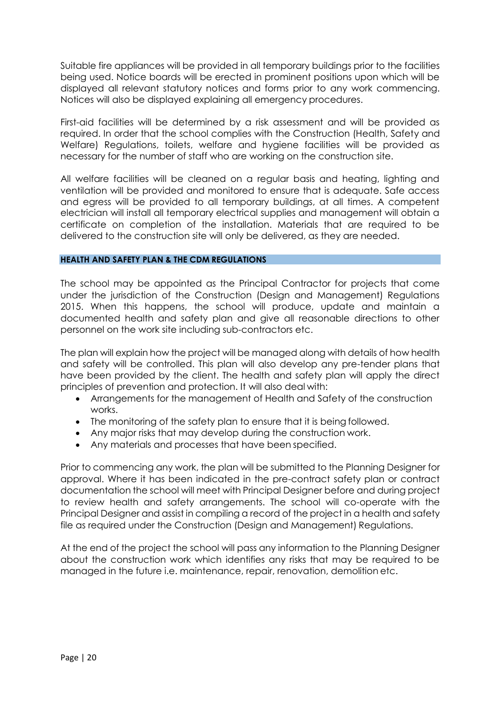Suitable fire appliances will be provided in all temporary buildings prior to the facilities being used. Notice boards will be erected in prominent positions upon which will be displayed all relevant statutory notices and forms prior to any work commencing. Notices will also be displayed explaining all emergency procedures.

First-aid facilities will be determined by a risk assessment and will be provided as required. In order that the school complies with the Construction (Health, Safety and Welfare) Regulations, toilets, welfare and hygiene facilities will be provided as necessary for the number of staff who are working on the construction site.

All welfare facilities will be cleaned on a regular basis and heating, lighting and ventilation will be provided and monitored to ensure that is adequate. Safe access and egress will be provided to all temporary buildings, at all times. A competent electrician will install all temporary electrical supplies and management will obtain a certificate on completion of the installation. Materials that are required to be delivered to the construction site will only be delivered, as they are needed.

## **HEALTH AND SAFETY PLAN & THE CDM REGULATIONS**

The school may be appointed as the Principal Contractor for projects that come under the jurisdiction of the Construction (Design and Management) Regulations 2015. When this happens, the school will produce, update and maintain a documented health and safety plan and give all reasonable directions to other personnel on the work site including sub-contractors etc.

The plan will explain how the project will be managed along with details of how health and safety will be controlled. This plan will also develop any pre-tender plans that have been provided by the client. The health and safety plan will apply the direct principles of prevention and protection. It will also deal with:

- Arrangements for the management of Health and Safety of the construction works.
- The monitoring of the safety plan to ensure that it is being followed.
- Any major risks that may develop during the construction work.
- Any materials and processes that have been specified.

Prior to commencing any work, the plan will be submitted to the Planning Designer for approval. Where it has been indicated in the pre-contract safety plan or contract documentation the school will meet with Principal Designer before and during project to review health and safety arrangements. The school will co-operate with the Principal Designer and assist in compiling a record of the project in a health and safety file as required under the Construction (Design and Management) Regulations.

At the end of the project the school will pass any information to the Planning Designer about the construction work which identifies any risks that may be required to be managed in the future i.e. maintenance, repair, renovation, demolition etc.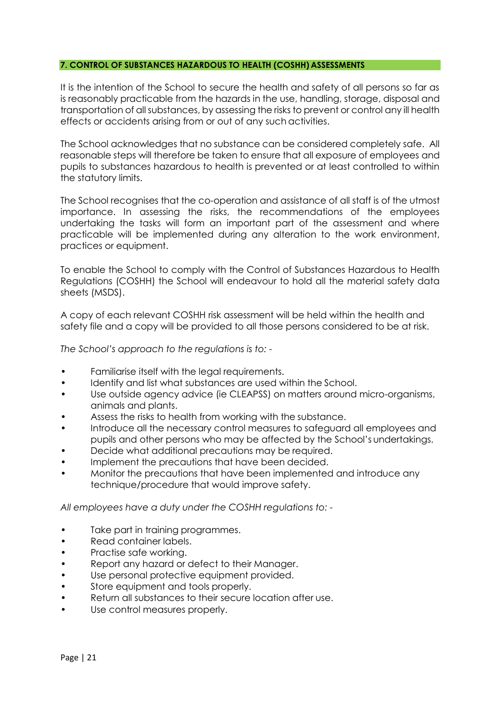## **7. CONTROL OF SUBSTANCES HAZARDOUS TO HEALTH (COSHH) ASSESSMENTS**

It is the intention of the School to secure the health and safety of all persons so far as is reasonably practicable from the hazards in the use, handling, storage, disposal and transportation of all substances, by assessing the risks to prevent or control any ill health effects or accidents arising from or out of any such activities.

The School acknowledges that no substance can be considered completely safe. All reasonable steps will therefore be taken to ensure that all exposure of employees and pupils to substances hazardous to health is prevented or at least controlled to within the statutory limits.

The School recognises that the co-operation and assistance of all staff is of the utmost importance. In assessing the risks, the recommendations of the employees undertaking the tasks will form an important part of the assessment and where practicable will be implemented during any alteration to the work environment, practices or equipment.

To enable the School to comply with the Control of Substances Hazardous to Health Regulations (COSHH) the School will endeavour to hold all the material safety data sheets (MSDS).

A copy of each relevant COSHH risk assessment will be held within the health and safety file and a copy will be provided to all those persons considered to be at risk.

*The School's approach to the regulations is to: -*

- Familiarise itself with the legal requirements.
- Identify and list what substances are used within the School.
- Use outside agency advice (ie CLEAPSS) on matters around micro-organisms, animals and plants.
- Assess the risks to health from working with the substance.
- Introduce all the necessary control measures to safeguard all employees and pupils and other persons who may be affected by the School's undertakings.
- Decide what additional precautions may be required.
- Implement the precautions that have been decided.
- Monitor the precautions that have been implemented and introduce any technique/procedure that would improve safety.

*All employees have a duty under the COSHH regulations to: -*

- Take part in training programmes.
- Read container labels.
- Practise safe working.
- Report any hazard or defect to their Manager.
- Use personal protective equipment provided.
- Store equipment and tools properly.
- Return all substances to their secure location after use.
- Use control measures properly.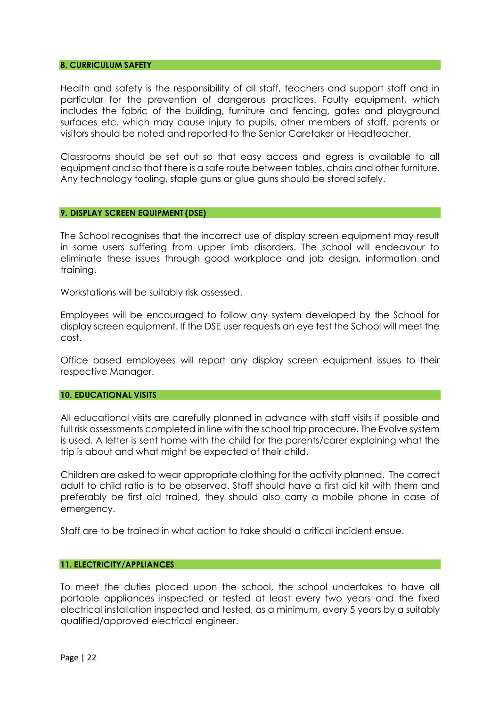#### **8. CURRICULUM SAFETY**

Health and safety is the responsibility of all staff, teachers and support staff and in particular for the prevention of dangerous practices. Faulty equipment, which includes the fabric of the building, furniture and fencing, gates and playground surfaces etc. which may cause injury to pupils, other members of staff, parents or visitors should be noted and reported to the Senior Caretaker or Headteacher.

Classrooms should be set out so that easy access and egress is available to all equipment and so that there is a safe route between tables, chairs and other furniture. Any technology tooling, staple guns or glue guns should be stored safely.

#### **9. DISPLAY SCREEN EQUIPMENT (DSE)**

The School recognises that the incorrect use of display screen equipment may result in some users suffering from upper limb disorders. The school will endeavour to eliminate these issues through good workplace and job design, information and training.

Workstations will be suitably risk assessed.

Employees will be encouraged to follow any system developed by the School for display screen equipment. If the DSE user requests an eye test the School will meet the cost.

Office based employees will report any display screen equipment issues to their respective Manager.

#### **10. EDUCATIONAL VISITS**

All educational visits are carefully planned in advance with staff visits if possible and full risk assessments completed in line with the school trip procedure. The Evolve system is used. A letter is sent home with the child for the parents/carer explaining what the trip is about and what might be expected of their child.

Children are asked to wear appropriate clothing for the activity planned. The correct adult to child ratio is to be observed. Staff should have a first aid kit with them and preferably be first aid trained, they should also carry a mobile phone in case of emergency.

Staff are to be trained in what action to take should a critical incident ensue.

#### **11. ELECTRICITY/APPLIANCES**

To meet the duties placed upon the school, the school undertakes to have all portable appliances inspected or tested at least every two years and the fixed electrical installation inspected and tested, as a minimum, every 5 years by a suitably qualified/approved electrical engineer.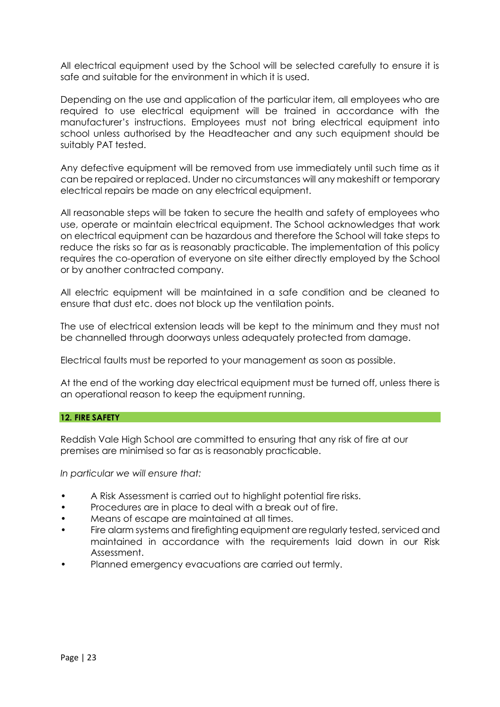All electrical equipment used by the School will be selected carefully to ensure it is safe and suitable for the environment in which it is used.

Depending on the use and application of the particular item, all employees who are required to use electrical equipment will be trained in accordance with the manufacturer's instructions. Employees must not bring electrical equipment into school unless authorised by the Headteacher and any such equipment should be suitably PAT tested.

Any defective equipment will be removed from use immediately until such time as it can be repaired or replaced. Under no circumstances will any makeshift or temporary electrical repairs be made on any electrical equipment.

All reasonable steps will be taken to secure the health and safety of employees who use, operate or maintain electrical equipment. The School acknowledges that work on electrical equipment can be hazardous and therefore the School will take steps to reduce the risks so far as is reasonably practicable. The implementation of this policy requires the co-operation of everyone on site either directly employed by the School or by another contracted company.

All electric equipment will be maintained in a safe condition and be cleaned to ensure that dust etc. does not block up the ventilation points.

The use of electrical extension leads will be kept to the minimum and they must not be channelled through doorways unless adequately protected from damage.

Electrical faults must be reported to your management as soon as possible.

At the end of the working day electrical equipment must be turned off, unless there is an operational reason to keep the equipment running.

## **12. FIRE SAFETY**

Reddish Vale High School are committed to ensuring that any risk of fire at our premises are minimised so far as is reasonably practicable.

*In particular we will ensure that:*

- A Risk Assessment is carried out to highlight potential fire risks.
- Procedures are in place to deal with a break out of fire.
- Means of escape are maintained at all times.
- Fire alarm systems and firefighting equipment are regularly tested, serviced and maintained in accordance with the requirements laid down in our Risk Assessment.
- Planned emergency evacuations are carried out termly.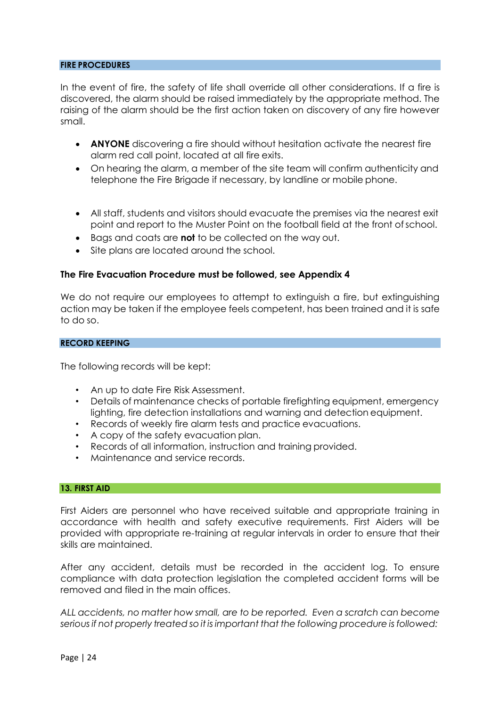#### **FIRE PROCEDURES**

In the event of fire, the safety of life shall override all other considerations. If a fire is discovered, the alarm should be raised immediately by the appropriate method. The raising of the alarm should be the first action taken on discovery of any fire however small.

- **ANYONE** discovering a fire should without hesitation activate the nearest fire alarm red call point, located at all fire exits.
- On hearing the alarm, a member of the site team will confirm authenticity and telephone the Fire Brigade if necessary, by landline or mobile phone.
- All staff, students and visitors should evacuate the premises via the nearest exit point and report to the Muster Point on the football field at the front ofschool.
- Bags and coats are **not** to be collected on the way out.
- Site plans are located around the school.

## **The Fire Evacuation Procedure must be followed, see Appendix 4**

We do not require our employees to attempt to extinguish a fire, but extinguishing action may be taken if the employee feels competent, has been trained and it is safe to do so.

#### **RECORD KEEPING**

The following records will be kept:

- An up to date Fire Risk Assessment.
- Details of maintenance checks of portable firefighting equipment, emergency lighting, fire detection installations and warning and detection equipment.
- Records of weekly fire alarm tests and practice evacuations.
- A copy of the safety evacuation plan.
- Records of all information, instruction and training provided.
- Maintenance and service records.

#### **13. FIRST AID**

First Aiders are personnel who have received suitable and appropriate training in accordance with health and safety executive requirements. First Aiders will be provided with appropriate re-training at regular intervals in order to ensure that their skills are maintained.

After any accident, details must be recorded in the accident log. To ensure compliance with data protection legislation the completed accident forms will be removed and filed in the main offices.

*ALL accidents, no matter how small, are to be reported. Even a scratch can become seriousif not properly treated so it isimportant that the following procedure is followed:*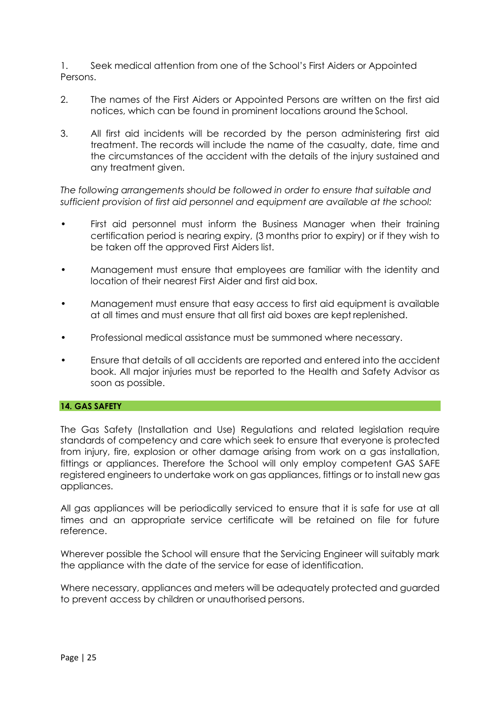1. Seek medical attention from one of the School's First Aiders or Appointed Persons.

- 2. The names of the First Aiders or Appointed Persons are written on the first aid notices, which can be found in prominent locations around the School.
- 3. All first aid incidents will be recorded by the person administering first aid treatment. The records will include the name of the casualty, date, time and the circumstances of the accident with the details of the injury sustained and any treatment given.

*The following arrangements should be followed in order to ensure that suitable and sufficient provision of first aid personnel and equipment are available at the school:*

- First aid personnel must inform the Business Manager when their training certification period is nearing expiry, (3 months prior to expiry) or if they wish to be taken off the approved First Aiders list.
- Management must ensure that employees are familiar with the identity and location of their nearest First Aider and first aid box.
- Management must ensure that easy access to first aid equipment is available at all times and must ensure that all first aid boxes are kept replenished.
- Professional medical assistance must be summoned where necessary.
- Ensure that details of all accidents are reported and entered into the accident book. All major injuries must be reported to the Health and Safety Advisor as soon as possible.

## **14. GAS SAFETY**

The Gas Safety (Installation and Use) Regulations and related legislation require standards of competency and care which seek to ensure that everyone is protected from injury, fire, explosion or other damage arising from work on a gas installation, fittings or appliances. Therefore the School will only employ competent GAS SAFE registered engineers to undertake work on gas appliances, fittings or to install new gas appliances.

All gas appliances will be periodically serviced to ensure that it is safe for use at all times and an appropriate service certificate will be retained on file for future reference.

Wherever possible the School will ensure that the Servicing Engineer will suitably mark the appliance with the date of the service for ease of identification.

Where necessary, appliances and meters will be adequately protected and guarded to prevent access by children or unauthorised persons.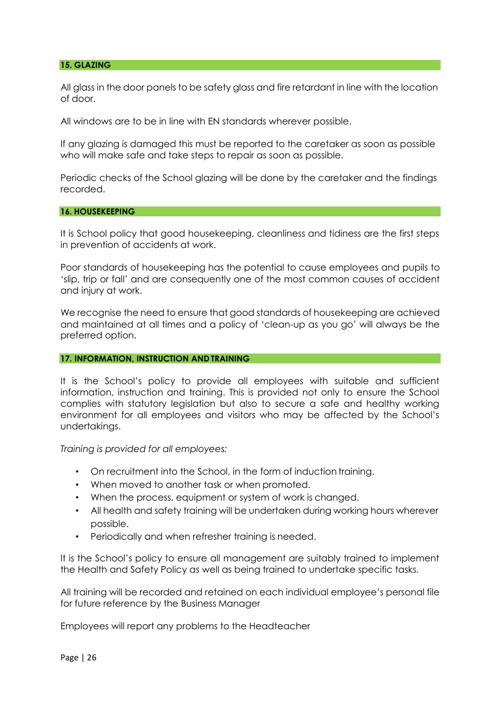#### **15. GLAZING**

All glass in the door panels to be safety glass and fire retardant in line with the location of door.

All windows are to be in line with EN standards wherever possible.

If any glazing is damaged this must be reported to the caretaker as soon as possible who will make safe and take steps to repair as soon as possible.

Periodic checks of the School glazing will be done by the caretaker and the findings recorded.

#### **16. HOUSEKEEPING**

It is School policy that good housekeeping, cleanliness and tidiness are the first steps in prevention of accidents at work.

Poor standards of housekeeping has the potential to cause employees and pupils to 'slip, trip or fall' and are consequently one of the most common causes of accident and injury at work.

We recognise the need to ensure that good standards of housekeeping are achieved and maintained at all times and a policy of 'clean-up as you go' will always be the preferred option.

#### **17. INFORMATION, INSTRUCTION AND TRAINING**

It is the School's policy to provide all employees with suitable and sufficient information, instruction and training. This is provided not only to ensure the School complies with statutory legislation but also to secure a safe and healthy working environment for all employees and visitors who may be affected by the School's undertakings.

*Training is provided for all employees:*

- On recruitment into the School, in the form of induction training.
- When moved to another task or when promoted.
- When the process, equipment or system of work is changed.
- All health and safety training will be undertaken during working hours wherever possible.
- Periodically and when refresher training is needed.

It is the School's policy to ensure all management are suitably trained to implement the Health and Safety Policy as well as being trained to undertake specific tasks.

All training will be recorded and retained on each individual employee's personal file for future reference by the Business Manager

Employees will report any problems to the Headteacher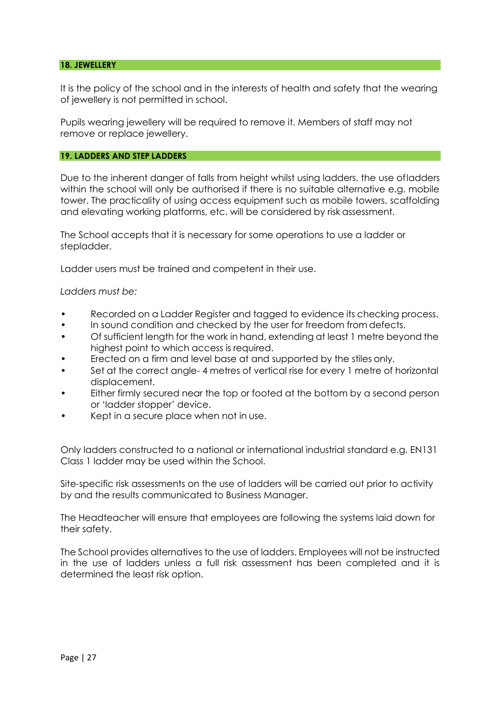#### **18. JEWELLERY**

It is the policy of the school and in the interests of health and safety that the wearing of jewellery is not permitted in school.

Pupils wearing jewellery will be required to remove it. Members of staff may not remove or replace jewellery.

#### **19. LADDERS AND STEP LADDERS**

Due to the inherent danger of falls from height whilst using ladders, the use ofladders within the school will only be authorised if there is no suitable alternative e.g. mobile tower. The practicality of using access equipment such as mobile towers, scaffolding and elevating working platforms, etc. will be considered by risk assessment.

The School accepts that it is necessary for some operations to use a ladder or stepladder.

Ladder users must be trained and competent in their use.

#### *Ladders must be:*

- Recorded on a Ladder Register and tagged to evidence its checking process.
- In sound condition and checked by the user for freedom from defects.
- Of sufficient length for the work in hand, extending at least 1 metre beyond the highest point to which access is required.
- Erected on a firm and level base at and supported by the stiles only.
- Set at the correct angle-4 metres of vertical rise for every 1 metre of horizontal displacement.
- Either firmly secured near the top or footed at the bottom by a second person or 'ladder stopper' device.
- Kept in a secure place when not in use.

Only ladders constructed to a national or international industrial standard e.g. EN131 Class 1 ladder may be used within the School.

Site-specific risk assessments on the use of ladders will be carried out prior to activity by and the results communicated to Business Manager.

The Headteacher will ensure that employees are following the systems laid down for their safety.

The School provides alternatives to the use of ladders. Employees will not be instructed in the use of ladders unless a full risk assessment has been completed and it is determined the least risk option.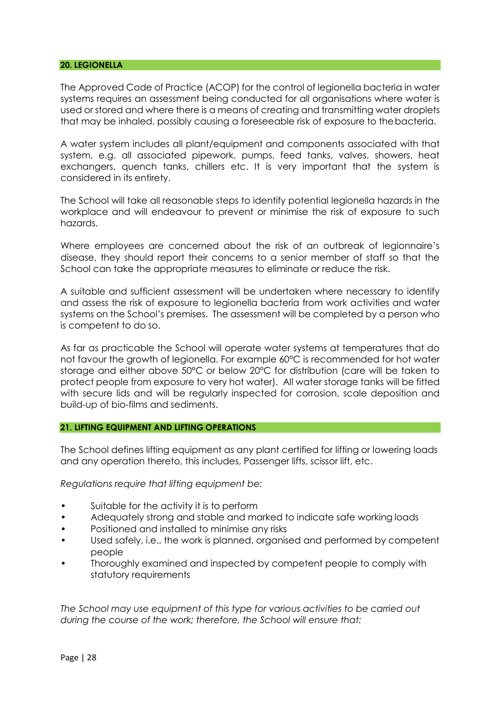#### **20. LEGIONELLA**

The Approved Code of Practice (ACOP) for the control of legionella bacteria in water systems requires an assessment being conducted for all organisations where water is used or stored and where there is a means of creating and transmitting water droplets that may be inhaled, possibly causing a foreseeable risk of exposure to thebacteria.

A water system includes all plant/equipment and components associated with that system, e.g. all associated pipework, pumps, feed tanks, valves, showers, heat exchangers, quench tanks, chillers etc. It is very important that the system is considered in its entirety.

The School will take all reasonable steps to identify potential legionella hazards in the workplace and will endeavour to prevent or minimise the risk of exposure to such hazards.

Where employees are concerned about the risk of an outbreak of legionnaire's disease, they should report their concerns to a senior member of staff so that the School can take the appropriate measures to eliminate or reduce the risk.

A suitable and sufficient assessment will be undertaken where necessary to identify and assess the risk of exposure to legionella bacteria from work activities and water systems on the School's premises. The assessment will be completed by a person who is competent to do so.

As far as practicable the School will operate water systems at temperatures that do not favour the growth of legionella. For example 60°C is recommended for hot water storage and either above 50°C or below 20°C for distribution (care will be taken to protect people from exposure to very hot water). All water storage tanks will be fitted with secure lids and will be regularly inspected for corrosion, scale deposition and build-up of bio-films and sediments.

## **21. LIFTING EQUIPMENT AND LIFTING OPERATIONS**

The School defines lifting equipment as any plant certified for lifting or lowering loads and any operation thereto, this includes, Passenger lifts, scissor lift, etc.

*Regulations require that lifting equipment be:*

- Suitable for the activity it is to perform
- Adequately strong and stable and marked to indicate safe working loads
- Positioned and installed to minimise any risks
- Used safely, i.e., the work is planned, organised and performed by competent people
- Thoroughly examined and inspected by competent people to comply with statutory requirements

*The School may use equipment of this type for various activities to be carried out during the course of the work; therefore, the School will ensure that:*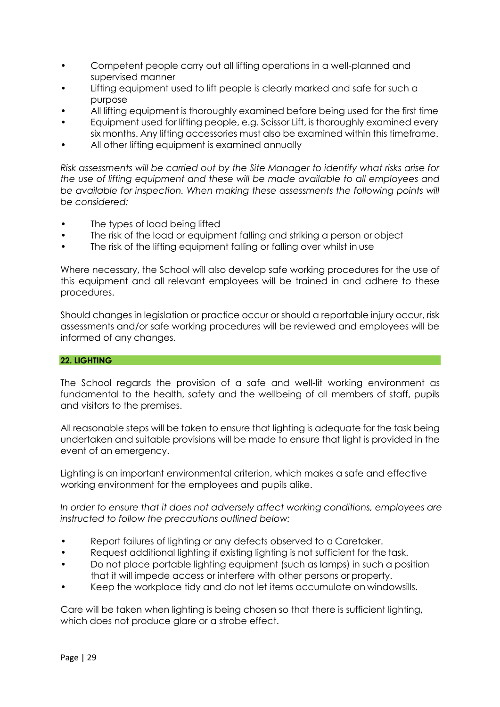- Competent people carry out all lifting operations in a well-planned and supervised manner
- Lifting equipment used to lift people is clearly marked and safe for such a purpose
- All lifting equipment is thoroughly examined before being used for the first time
- Equipment used for lifting people, e.g. Scissor Lift, is thoroughly examined every six months. Any lifting accessories must also be examined within this timeframe.
- All other lifting equipment is examined annually

*Risk assessments will be carried out by the Site Manager to identify what risks arise for the use of lifting equipment and these will be made available to all employees and*  be available for inspection. When making these assessments the following points will *be considered:*

- The types of load being lifted
- The risk of the load or equipment falling and striking a person or object
- The risk of the lifting equipment falling or falling over whilst in use

Where necessary, the School will also develop safe working procedures for the use of this equipment and all relevant employees will be trained in and adhere to these procedures.

Should changes in legislation or practice occur or should a reportable injury occur, risk assessments and/or safe working procedures will be reviewed and employees will be informed of any changes.

## **22. LIGHTING**

The School regards the provision of a safe and well-lit working environment as fundamental to the health, safety and the wellbeing of all members of staff, pupils and visitors to the premises.

All reasonable steps will be taken to ensure that lighting is adequate for the task being undertaken and suitable provisions will be made to ensure that light is provided in the event of an emergency.

Lighting is an important environmental criterion, which makes a safe and effective working environment for the employees and pupils alike.

*In order to ensure that it does not adversely affect working conditions, employees are instructed to follow the precautions outlined below:*

- Report failures of lighting or any defects observed to a Caretaker.
- Request additional lighting if existing lighting is not sufficient for the task.
- Do not place portable lighting equipment (such as lamps) in such a position that it will impede access or interfere with other persons or property.
- Keep the workplace tidy and do not let items accumulate on windowsills.

Care will be taken when lighting is being chosen so that there is sufficient lighting, which does not produce glare or a strobe effect.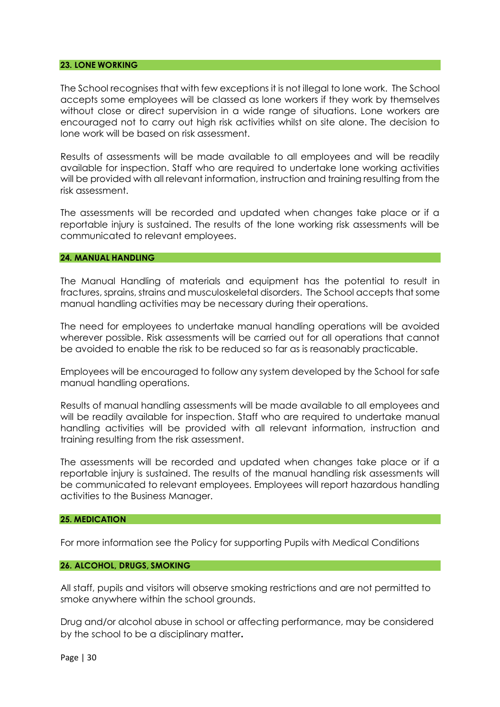#### **23. LONE WORKING**

The School recognises that with few exceptions it is not illegal to lone work. The School accepts some employees will be classed as lone workers if they work by themselves without close or direct supervision in a wide range of situations. Lone workers are encouraged not to carry out high risk activities whilst on site alone. The decision to lone work will be based on risk assessment.

Results of assessments will be made available to all employees and will be readily available for inspection. Staff who are required to undertake lone working activities will be provided with all relevant information, instruction and training resulting from the risk assessment.

The assessments will be recorded and updated when changes take place or if a reportable injury is sustained. The results of the lone working risk assessments will be communicated to relevant employees.

#### **24. MANUAL HANDLING**

The Manual Handling of materials and equipment has the potential to result in fractures, sprains, strains and musculoskeletal disorders. The School accepts that some manual handling activities may be necessary during their operations.

The need for employees to undertake manual handling operations will be avoided wherever possible. Risk assessments will be carried out for all operations that cannot be avoided to enable the risk to be reduced so far as is reasonably practicable.

Employees will be encouraged to follow any system developed by the School for safe manual handling operations.

Results of manual handling assessments will be made available to all employees and will be readily available for inspection. Staff who are required to undertake manual handling activities will be provided with all relevant information, instruction and training resulting from the risk assessment.

The assessments will be recorded and updated when changes take place or if a reportable injury is sustained. The results of the manual handling risk assessments will be communicated to relevant employees. Employees will report hazardous handling activities to the Business Manager.

### **25. MEDICATION**

For more information see the Policy for supporting Pupils with Medical Conditions

#### **26. ALCOHOL, DRUGS, SMOKING**

All staff, pupils and visitors will observe smoking restrictions and are not permitted to smoke anywhere within the school grounds.

Drug and/or alcohol abuse in school or affecting performance, may be considered by the school to be a disciplinary matter**.**

Page | 30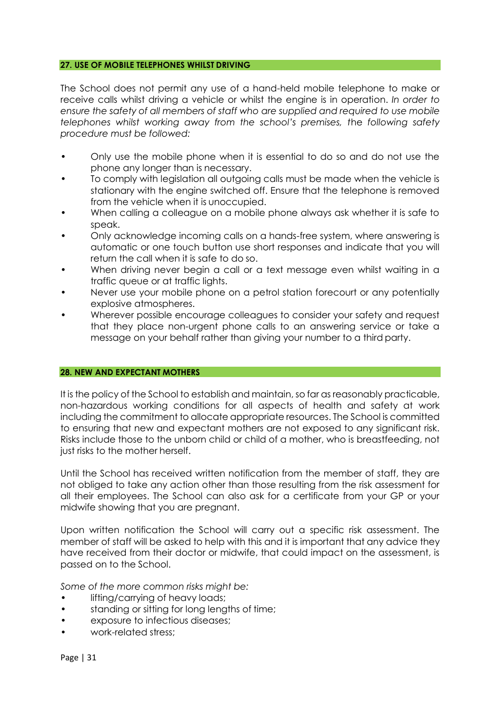#### **27. USE OF MOBILE TELEPHONES WHILST DRIVING**

The School does not permit any use of a hand-held mobile telephone to make or receive calls whilst driving a vehicle or whilst the engine is in operation. *In order to ensure the safety of all members of staff who are supplied and required to use mobile telephones whilst working away from the school's premises, t*he *following safety procedure must be followed:*

- Only use the mobile phone when it is essential to do so and do not use the phone any longer than is necessary.
- To comply with legislation all outgoing calls must be made when the vehicle is stationary with the engine switched off. Ensure that the telephone is removed from the vehicle when it is unoccupied.
- When calling a colleague on a mobile phone always ask whether it is safe to speak.
- Only acknowledge incoming calls on a hands-free system, where answering is automatic or one touch button use short responses and indicate that you will return the call when it is safe to do so.
- When driving never begin a call or a text message even whilst waiting in a traffic queue or at traffic lights.
- Never use your mobile phone on a petrol station forecourt or any potentially explosive atmospheres.
- Wherever possible encourage colleagues to consider your safety and request that they place non-urgent phone calls to an answering service or take a message on your behalf rather than giving your number to a third party.

#### **28. NEW AND EXPECTANT MOTHERS**

It is the policy of the School to establish and maintain, so far as reasonably practicable, non-hazardous working conditions for all aspects of health and safety at work including the commitment to allocate appropriate resources. The School is committed to ensuring that new and expectant mothers are not exposed to any significant risk. Risks include those to the unborn child or child of a mother, who is breastfeeding, not just risks to the mother herself.

Until the School has received written notification from the member of staff, they are not obliged to take any action other than those resulting from the risk assessment for all their employees. The School can also ask for a certificate from your GP or your midwife showing that you are pregnant.

Upon written notification the School will carry out a specific risk assessment. The member of staff will be asked to help with this and it is important that any advice they have received from their doctor or midwife, that could impact on the assessment, is passed on to the School.

*Some of the more common risks might be:*

- lifting/carrying of heavy loads;
- standing or sitting for long lengths of time;
- exposure to infectious diseases;
- work-related stress;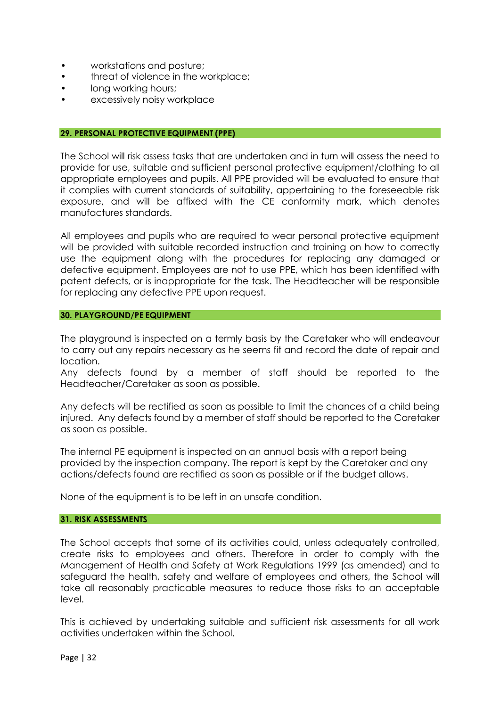- workstations and posture;
- threat of violence in the workplace;
- long working hours;
- excessively noisy workplace

#### **29. PERSONAL PROTECTIVE EQUIPMENT (PPE)**

The School will risk assess tasks that are undertaken and in turn will assess the need to provide for use, suitable and sufficient personal protective equipment/clothing to all appropriate employees and pupils. All PPE provided will be evaluated to ensure that it complies with current standards of suitability, appertaining to the foreseeable risk exposure, and will be affixed with the CE conformity mark, which denotes manufactures standards.

All employees and pupils who are required to wear personal protective equipment will be provided with suitable recorded instruction and training on how to correctly use the equipment along with the procedures for replacing any damaged or defective equipment. Employees are not to use PPE, which has been identified with patent defects, or is inappropriate for the task. The Headteacher will be responsible for replacing any defective PPE upon request.

#### **30. PLAYGROUND/PE EQUIPMENT**

The playground is inspected on a termly basis by the Caretaker who will endeavour to carry out any repairs necessary as he seems fit and record the date of repair and location.

Any defects found by a member of staff should be reported to the Headteacher/Caretaker as soon as possible.

Any defects will be rectified as soon as possible to limit the chances of a child being injured. Any defects found by a member of staff should be reported to the Caretaker as soon as possible.

The internal PE equipment is inspected on an annual basis with a report being provided by the inspection company. The report is kept by the Caretaker and any actions/defects found are rectified as soon as possible or if the budget allows.

None of the equipment is to be left in an unsafe condition.

## **31. RISK ASSESSMENTS**

The School accepts that some of its activities could, unless adequately controlled, create risks to employees and others. Therefore in order to comply with the Management of Health and Safety at Work Regulations 1999 (as amended) and to safeguard the health, safety and welfare of employees and others, the School will take all reasonably practicable measures to reduce those risks to an acceptable level.

This is achieved by undertaking suitable and sufficient risk assessments for all work activities undertaken within the School.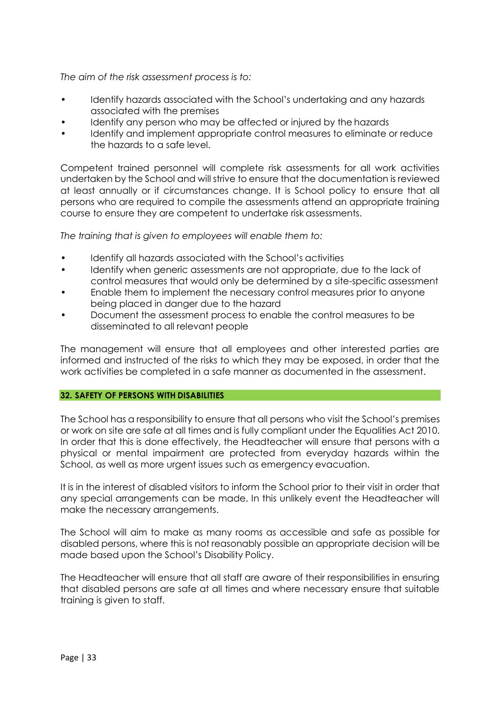# *The aim of the risk assessment process is to:*

- Identify hazards associated with the School's undertaking and any hazards associated with the premises
- Identify any person who may be affected or injured by the hazards
- Identify and implement appropriate control measures to eliminate or reduce the hazards to a safe level.

Competent trained personnel will complete risk assessments for all work activities undertaken by the School and will strive to ensure that the documentation is reviewed at least annually or if circumstances change. It is School policy to ensure that all persons who are required to compile the assessments attend an appropriate training course to ensure they are competent to undertake risk assessments.

*The training that is given to employees will enable them to:*

- Identify all hazards associated with the School's activities
- Identify when generic assessments are not appropriate, due to the lack of control measures that would only be determined by a site-specificassessment
- Enable them to implement the necessary control measures prior to anyone being placed in danger due to the hazard
- Document the assessment process to enable the control measures to be disseminated to all relevant people

The management will ensure that all employees and other interested parties are informed and instructed of the risks to which they may be exposed, in order that the work activities be completed in a safe manner as documented in the assessment.

## **32. SAFETY OF PERSONS WITH DISABILITIES**

The School has a responsibility to ensure that all persons who visit the School's premises or work on site are safe at all times and is fully compliant under the Equalities Act 2010. In order that this is done effectively, the Headteacher will ensure that persons with a physical or mental impairment are protected from everyday hazards within the School, as well as more urgent issues such as emergency evacuation.

It is in the interest of disabled visitors to inform the School prior to their visit in order that any special arrangements can be made. In this unlikely event the Headteacher will make the necessary arrangements.

The School will aim to make as many rooms as accessible and safe as possible for disabled persons, where this is not reasonably possible an appropriate decision will be made based upon the School's Disability Policy.

The Headteacher will ensure that all staff are aware of their responsibilities in ensuring that disabled persons are safe at all times and where necessary ensure that suitable training is given to staff.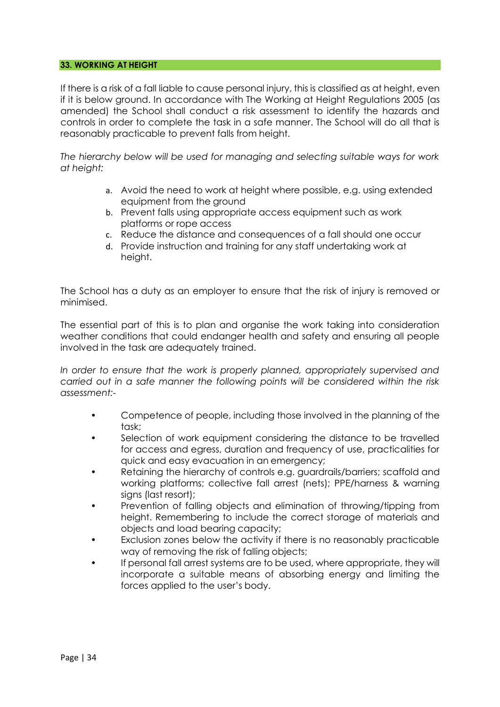## **33. WORKING AT HEIGHT**

If there is a risk of a fall liable to cause personal injury, this is classified as at height, even if it is below ground. In accordance with The Working at Height Regulations 2005 (as amended) the School shall conduct a risk assessment to identify the hazards and controls in order to complete the task in a safe manner. The School will do all that is reasonably practicable to prevent falls from height.

*The hierarchy below will be used for managing and selecting suitable ways for work at height:*

- a. Avoid the need to work at height where possible, e.g. using extended equipment from the ground
- b. Prevent falls using appropriate access equipment such as work platforms or rope access
- c. Reduce the distance and consequences of a fall should one occur
- d. Provide instruction and training for any staff undertaking work at height.

The School has a duty as an employer to ensure that the risk of injury is removed or minimised.

The essential part of this is to plan and organise the work taking into consideration weather conditions that could endanger health and safety and ensuring all people involved in the task are adequately trained.

*In order to ensure that the work is properly planned, appropriately supervised and carried out in a safe manner the following points will be considered within the risk assessment:-*

- Competence of people, including those involved in the planning of the task;
- Selection of work equipment considering the distance to be travelled for access and egress, duration and frequency of use, practicalities for quick and easy evacuation in an emergency;
- Retaining the hierarchy of controls e.g. guardrails/barriers; scaffold and working platforms; collective fall arrest (nets); PPE/harness & warning signs (last resort);
- Prevention of falling objects and elimination of throwing/tipping from height. Remembering to include the correct storage of materials and objects and load bearing capacity;
- Exclusion zones below the activity if there is no reasonably practicable way of removing the risk of falling objects;
- If personal fall arrest systems are to be used, where appropriate, they will incorporate a suitable means of absorbing energy and limiting the forces applied to the user's body.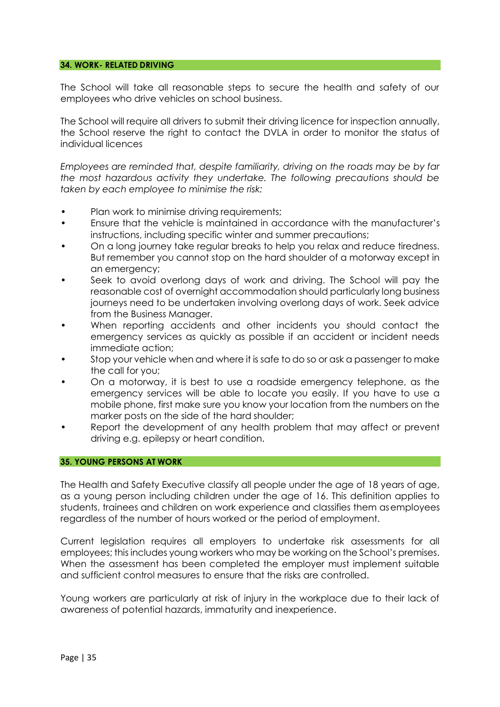## **34. WORK- RELATED DRIVING**

The School will take all reasonable steps to secure the health and safety of our employees who drive vehicles on school business.

The School will require all drivers to submit their driving licence for inspection annually, the School reserve the right to contact the DVLA in order to monitor the status of individual licences

*Employees are reminded that, despite familiarity, driving on the roads may be by far the most hazardous activity they undertake. The following precautions should be taken by each employee to minimise the risk:*

- Plan work to minimise driving requirements;
- Ensure that the vehicle is maintained in accordance with the manufacturer's instructions, including specific winter and summer precautions;
- On a long journey take regular breaks to help you relax and reduce tiredness. But remember you cannot stop on the hard shoulder of a motorway except in an emergency;
- Seek to avoid overlong days of work and driving. The School will pay the reasonable cost of overnight accommodation should particularly long business journeys need to be undertaken involving overlong days of work. Seek advice from the Business Manager.
- When reporting accidents and other incidents you should contact the emergency services as quickly as possible if an accident or incident needs immediate action;
- Stop your vehicle when and where it is safe to do so or ask a passenger to make the call for you;
- On a motorway, it is best to use a roadside emergency telephone, as the emergency services will be able to locate you easily. If you have to use a mobile phone, first make sure you know your location from the numbers on the marker posts on the side of the hard shoulder;
- Report the development of any health problem that may affect or prevent driving e.g. epilepsy or heart condition.

#### **35. YOUNG PERSONS AT WORK**

The Health and Safety Executive classify all people under the age of 18 years of age, as a young person including children under the age of 16. This definition applies to students, trainees and children on work experience and classifies them asemployees regardless of the number of hours worked or the period of employment.

Current legislation requires all employers to undertake risk assessments for all employees; this includes young workers who may be working on the School's premises. When the assessment has been completed the employer must implement suitable and sufficient control measures to ensure that the risks are controlled.

Young workers are particularly at risk of injury in the workplace due to their lack of awareness of potential hazards, immaturity and inexperience.